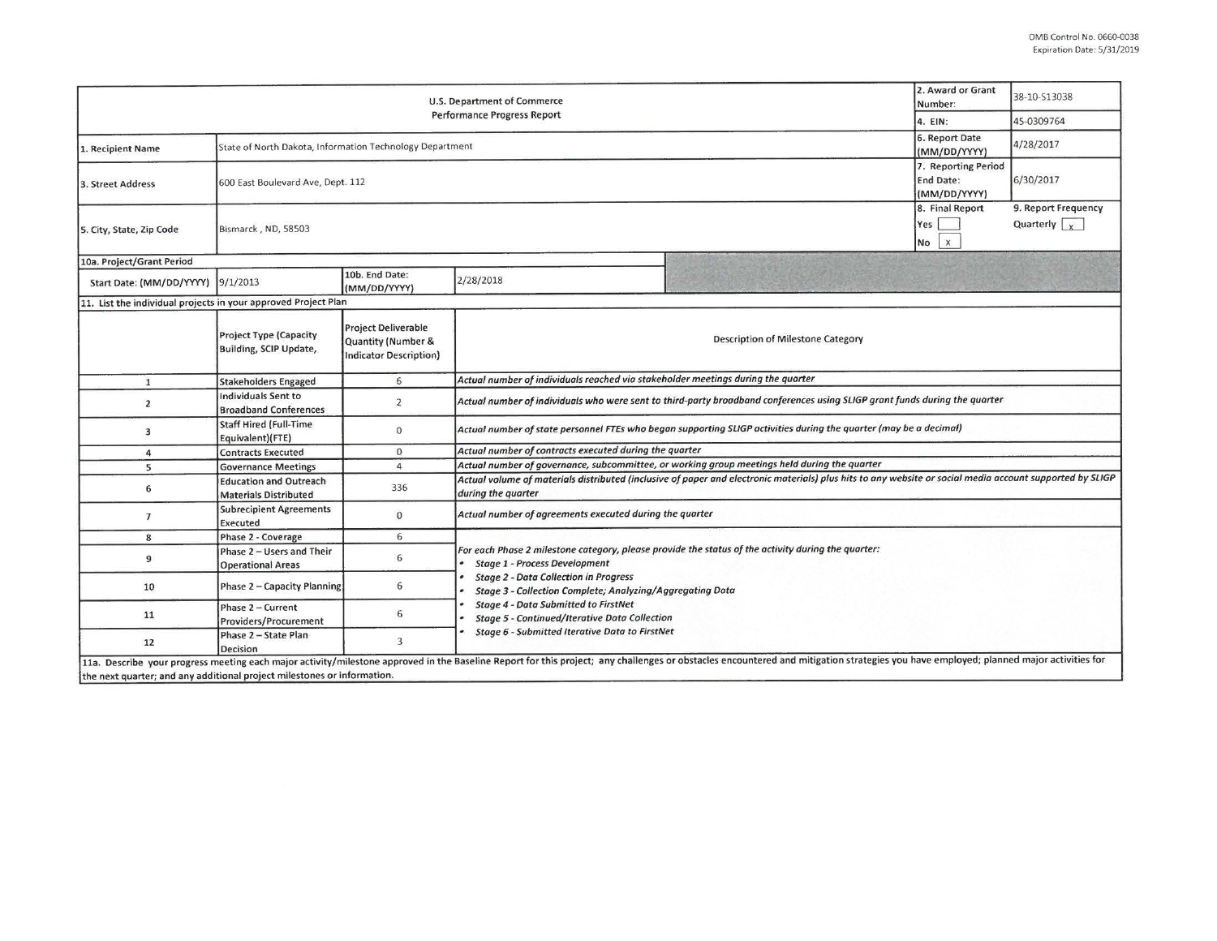| U.S. Department of Commerce<br><b>Performance Progress Report</b>       |                                                               |                                                                            |                                                                                                                                                                                                                                                                                                                                                                       |                                                                                                                                                                                                                                |                                              | 38-10-S13038                                |  |  |  |
|-------------------------------------------------------------------------|---------------------------------------------------------------|----------------------------------------------------------------------------|-----------------------------------------------------------------------------------------------------------------------------------------------------------------------------------------------------------------------------------------------------------------------------------------------------------------------------------------------------------------------|--------------------------------------------------------------------------------------------------------------------------------------------------------------------------------------------------------------------------------|----------------------------------------------|---------------------------------------------|--|--|--|
|                                                                         |                                                               |                                                                            |                                                                                                                                                                                                                                                                                                                                                                       |                                                                                                                                                                                                                                |                                              | 45-0309764                                  |  |  |  |
| 1. Recipient Name                                                       | State of North Dakota, Information Technology Department      |                                                                            |                                                                                                                                                                                                                                                                                                                                                                       |                                                                                                                                                                                                                                | 6. Report Date<br>(MM/DD/YYYY)               | 4/28/2017                                   |  |  |  |
| 3. Street Address                                                       | 600 East Boulevard Ave, Dept. 112                             |                                                                            |                                                                                                                                                                                                                                                                                                                                                                       |                                                                                                                                                                                                                                |                                              | 6/30/2017                                   |  |  |  |
| 5. City, State, Zip Code                                                | Bismarck, ND, 58503                                           |                                                                            |                                                                                                                                                                                                                                                                                                                                                                       |                                                                                                                                                                                                                                | 8. Final Report<br>Yes<br>$\mathsf{X}$<br>No | 9. Report Frequency<br>Quarterly $\sqrt{x}$ |  |  |  |
| 10a. Project/Grant Period                                               |                                                               |                                                                            |                                                                                                                                                                                                                                                                                                                                                                       |                                                                                                                                                                                                                                |                                              |                                             |  |  |  |
| Start Date: (MM/DD/YYYY) [9/1/2013                                      |                                                               | 10b. End Date:<br>(MM/DD/YYYY)                                             | 2/28/2018                                                                                                                                                                                                                                                                                                                                                             |                                                                                                                                                                                                                                |                                              |                                             |  |  |  |
| 11. List the individual projects in your approved Project Plan          |                                                               |                                                                            |                                                                                                                                                                                                                                                                                                                                                                       |                                                                                                                                                                                                                                |                                              |                                             |  |  |  |
|                                                                         | <b>Project Type (Capacity</b><br>Building, SCIP Update,       | <b>Project Deliverable</b><br>Quantity (Number &<br>Indicator Description) | Description of Milestone Category                                                                                                                                                                                                                                                                                                                                     |                                                                                                                                                                                                                                |                                              |                                             |  |  |  |
| $\mathbf{1}$                                                            | <b>Stakeholders Engaged</b>                                   | 6                                                                          | Actual number of individuals reached via stakeholder meetings during the quarter                                                                                                                                                                                                                                                                                      |                                                                                                                                                                                                                                |                                              |                                             |  |  |  |
| $\overline{2}$                                                          | Individuals Sent to<br><b>Broadband Conferences</b>           | $\overline{2}$                                                             | Actual number of individuals who were sent to third-party broadband conferences using SLIGP grant funds during the quarter                                                                                                                                                                                                                                            |                                                                                                                                                                                                                                |                                              |                                             |  |  |  |
| 3                                                                       | <b>Staff Hired (Full-Time</b><br>Equivalent)(FTE)             | $\mathbf{0}$                                                               | Actual number of state personnel FTEs who began supporting SLIGP activities during the quarter (may be a decimal)                                                                                                                                                                                                                                                     |                                                                                                                                                                                                                                |                                              |                                             |  |  |  |
| 4                                                                       | <b>Contracts Executed</b>                                     | $\mathbf{0}$                                                               | Actual number of contracts executed during the quarter                                                                                                                                                                                                                                                                                                                |                                                                                                                                                                                                                                |                                              |                                             |  |  |  |
| 5                                                                       | <b>Governance Meetings</b>                                    | $\overline{4}$                                                             | Actual number of governance, subcommittee, or working group meetings held during the quarter                                                                                                                                                                                                                                                                          |                                                                                                                                                                                                                                |                                              |                                             |  |  |  |
| 6                                                                       | <b>Education and Outreach</b><br><b>Materials Distributed</b> | 336                                                                        | Actual volume of materials distributed (inclusive of paper and electronic materials) plus hits to any website or social media account supported by SLIGP<br>during the quarter                                                                                                                                                                                        |                                                                                                                                                                                                                                |                                              |                                             |  |  |  |
| $\overline{7}$                                                          | <b>Subrecipient Agreements</b><br>Executed                    | $\mathbf{0}$                                                               | Actual number of agreements executed during the quarter                                                                                                                                                                                                                                                                                                               |                                                                                                                                                                                                                                |                                              |                                             |  |  |  |
| 8                                                                       | Phase 2 - Coverage                                            | 6                                                                          |                                                                                                                                                                                                                                                                                                                                                                       |                                                                                                                                                                                                                                |                                              |                                             |  |  |  |
| 9                                                                       | Phase 2 - Users and Their<br><b>Operational Areas</b>         | 6                                                                          | For each Phase 2 milestone category, please provide the status of the activity during the quarter:<br><b>Stage 1 - Process Development</b><br><b>Stage 2 - Data Collection in Progress</b><br><b>Stage 3 - Collection Complete; Analyzing/Aggregating Data</b><br><b>Stage 4 - Data Submitted to FirstNet</b><br><b>Stage 5 - Continued/Iterative Data Collection</b> |                                                                                                                                                                                                                                |                                              |                                             |  |  |  |
| 10                                                                      | Phase 2 - Capacity Planning                                   | 6                                                                          |                                                                                                                                                                                                                                                                                                                                                                       |                                                                                                                                                                                                                                |                                              |                                             |  |  |  |
| 11                                                                      | Phase 2 - Current<br>Providers/Procurement                    | 6                                                                          |                                                                                                                                                                                                                                                                                                                                                                       |                                                                                                                                                                                                                                |                                              |                                             |  |  |  |
| 12                                                                      | Phase 2 - State Plan<br>Decision                              | 3                                                                          | Stage 6 - Submitted Iterative Data to FirstNet                                                                                                                                                                                                                                                                                                                        |                                                                                                                                                                                                                                |                                              |                                             |  |  |  |
| the next quarter; and any additional project milestones or information. |                                                               |                                                                            |                                                                                                                                                                                                                                                                                                                                                                       | 11a. Describe your progress meeting each major activity/milestone approved in the Baseline Report for this project; any challenges or obstacles encountered and mitigation strategies you have employed; planned major activit |                                              |                                             |  |  |  |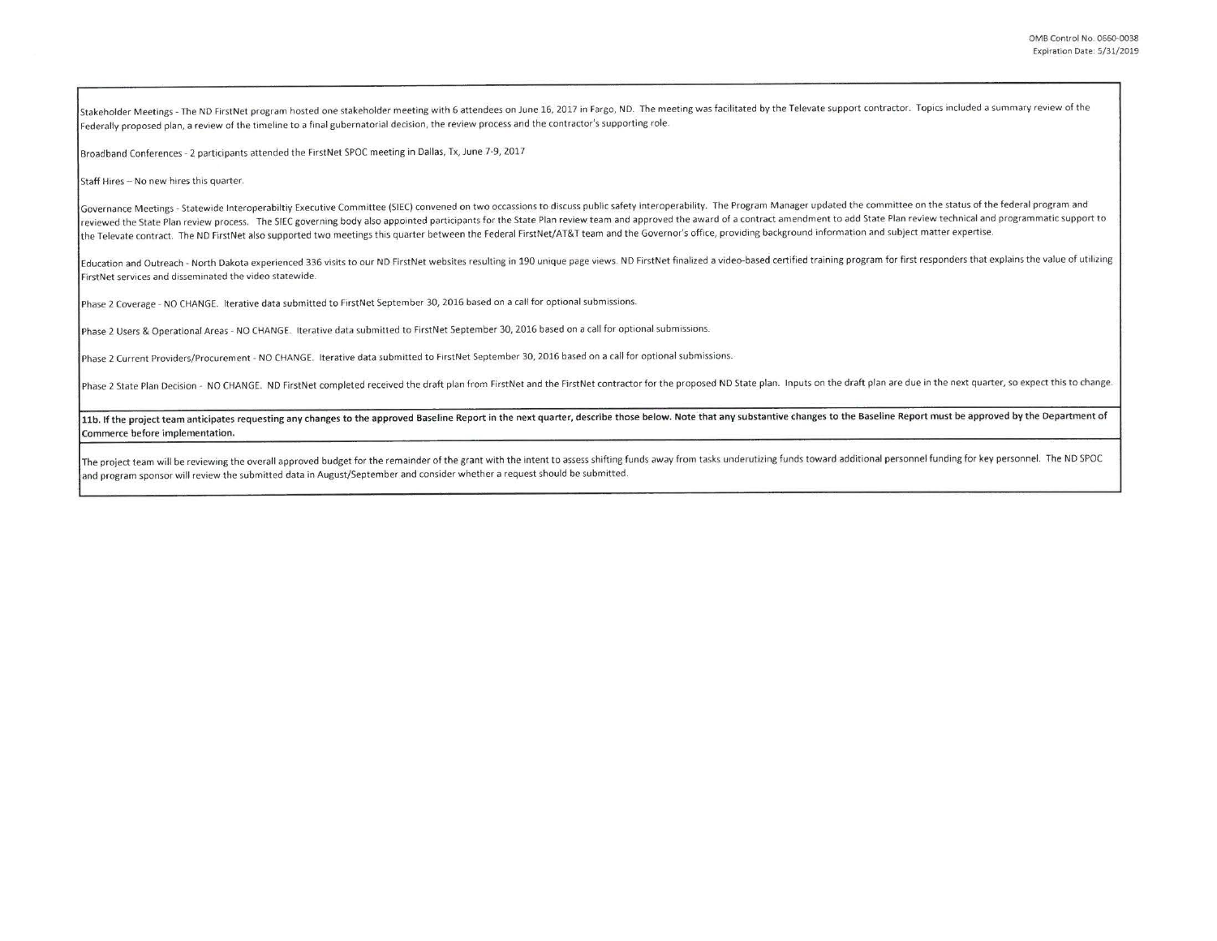Stakeholder Meetings - The ND FirstNet program hosted one stakeholder meeting with 6 attendees on June 16, 2017 in Fargo, ND. The meeting was facilitated by the Televate support contractor. Topics included a summary review Federally proposed plan, a review of the timeline to a final gubernatorial decision, the review process and the contractor's supporting role.

Broadband Conferences - 2 participants attended the FirstNet SPOC meeting in Dallas, Tx, June 7-9, 2017

Staff Hires - No new hires this quarter.

Governance Meetings - Statewide Interoperabiltiy Executive Committee (SIEC) convened on two occassions to discuss public safety interoperability. The Program Manager updated the committee on the status of the federal progr reviewed the State Plan review process. The SIEC governing body also appointed participants for the State Plan review team and approved the award of a contract amendment to add State Plan review technical and programmatic the Televate contract. The ND FirstNet also supported two meetings this quarter between the Federal FirstNet/AT&T team and the Governor's office, providing background information and subject matter expertise.

Education and Outreach - North Dakota experienced 336 visits to our ND FirstNet websites resulting in 190 unique page views. ND FirstNet finalized a video-based certified training program for first responders that explains **First Net services and disseminated the video statewide.** 

Phase 2 Coverage - NO CHANGE. Iterative data submitted to FirstNet September 30, 2016 based on a call for optional submissions.

Phase 2 Users & Operational Areas - NO CHANGE. Iterative data submitted to FirstNet September 30, 2016 based on a call for optional submissions.

Phase 2 Current Providers/Procurement - NO CHANGE. Iterative data submitted to FirstNet September 30, 2016 based on a call for optional submissions.

Phase 2 State Plan Decision - NO CHANGE. ND FirstNet completed received the draft plan from FirstNet and the FirstNet contractor for the proposed ND State plan. Inputs on the draft plan are due in the next quarter, so expe

11b. If the project team anticipates requesting any changes to the approved Baseline Report in the next quarter, describe those below. Note that any substantive changes to the Baseline Report must be approved by the Depart Commerce before implementation.

The project team will be reviewing the overall approved budget for the remainder of the grant with the intent to assess shifting funds away from tasks underutizing funds toward additional personnel funding for key personne and program sponsor will review the submitted data in August/September and consider whether a request should be submitted.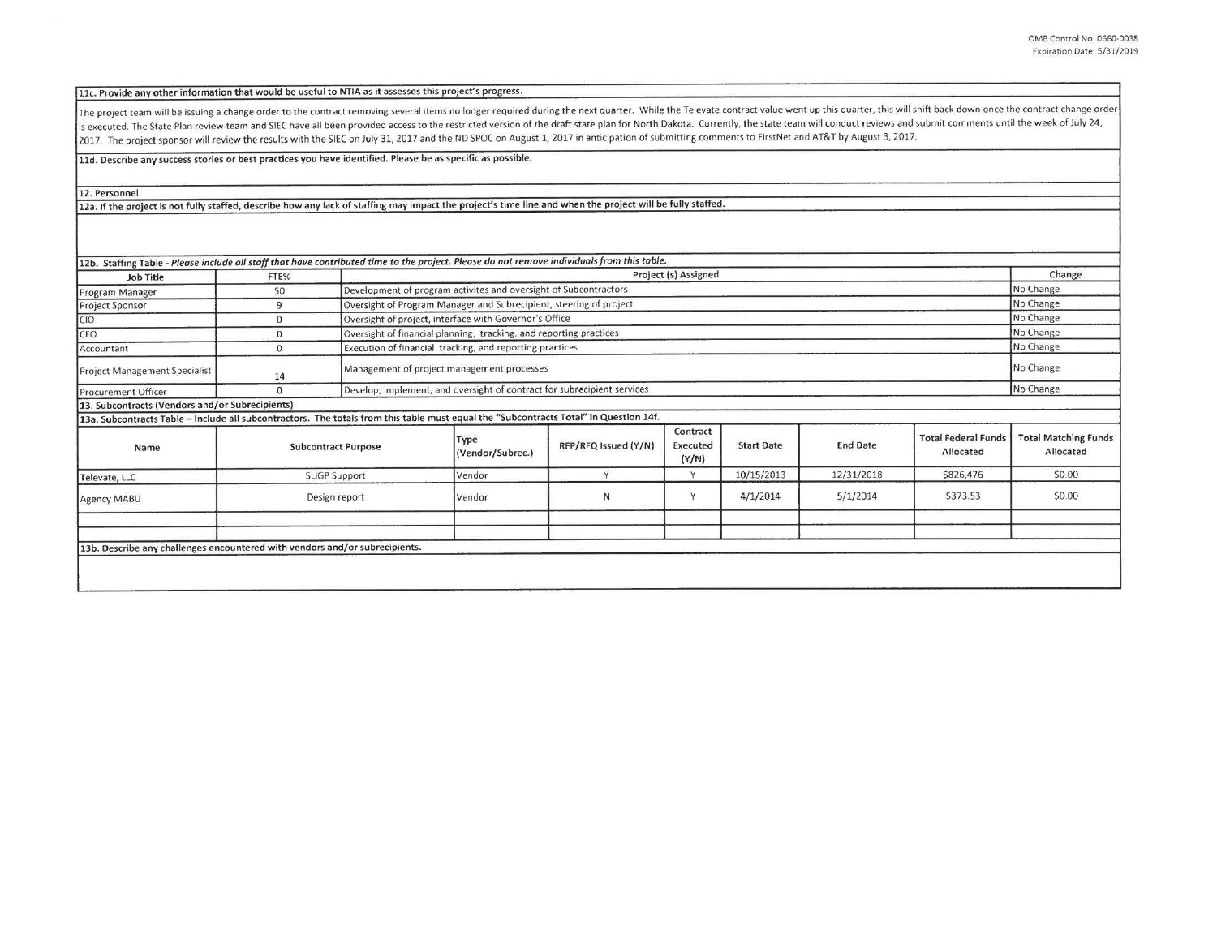11c. Provide any other information that would be useful to NTIA as it assesses this project's progress.

The project team will be issuing a change order to the contract removing several items no longer required during the next quarter. While the Televate contract value went up this quarter, this will shift back down once the is executed. The State Plan review team and SIEC have all been provided access to the restricted version of the draft state plan for North Dakota. Currently, the state team will conduct reviews and submit comments until th 2017. The project sponsor will review the results with the SIEC on July 31, 2017 and the ND SPOC on August 1, 2017 in anticipation of submitting comments to FirstNet and AT&T by August 3, 2017.

11d. Describe any success stories or best practices you have identified. Please be as specific as possible.

12. Personnel

12a. If the project is not fully staffed, describe how any lack of staffing may impact the project's time line and when the project will be fully staffed.

| Job Title                                                                                                                             | FTE%                 |                            | 12b. Staffing Table - Please include all staff that have contributed time to the project. Please do not remove individuals from this table.<br>Project (s) Assigned |                      |                               |                   |                 |                                         | Change                                   |
|---------------------------------------------------------------------------------------------------------------------------------------|----------------------|----------------------------|---------------------------------------------------------------------------------------------------------------------------------------------------------------------|----------------------|-------------------------------|-------------------|-----------------|-----------------------------------------|------------------------------------------|
| Program Manager                                                                                                                       | 50                   |                            | Development of program activites and oversight of Subcontractors                                                                                                    |                      |                               |                   |                 |                                         | No Change                                |
| Project Sponsor                                                                                                                       | 9                    |                            | Oversight of Program Manager and Subrecipient, steering of project                                                                                                  |                      |                               |                   |                 |                                         |                                          |
| C <sub>10</sub>                                                                                                                       | $\mathbf{0}$         |                            | Oversight of project, interface with Governor's Office                                                                                                              |                      |                               |                   |                 |                                         |                                          |
| CFO                                                                                                                                   | $\mathbf{0}$         |                            | Oversight of financial planning, tracking, and reporting practices                                                                                                  |                      |                               |                   |                 |                                         |                                          |
|                                                                                                                                       | $\mathbf{0}$         |                            | Execution of financial tracking, and reporting practices                                                                                                            |                      |                               |                   |                 |                                         | No Change<br>No Change                   |
| Accountant                                                                                                                            |                      |                            |                                                                                                                                                                     |                      |                               |                   |                 |                                         |                                          |
| <b>Project Management Specialist</b>                                                                                                  | 14                   |                            | Management of project management processes                                                                                                                          |                      |                               |                   |                 |                                         | No Change                                |
| Procurement Officer                                                                                                                   | $\Omega$             |                            | Develop, implement, and oversight of contract for subrecipient services                                                                                             |                      |                               |                   |                 |                                         | No Change                                |
| 13. Subcontracts (Vendors and/or Subrecipients)                                                                                       |                      |                            |                                                                                                                                                                     |                      |                               |                   |                 |                                         |                                          |
| 13a. Subcontracts Table - Include all subcontractors. The totals from this table must equal the "Subcontracts Total" in Question 14f. |                      |                            |                                                                                                                                                                     |                      |                               |                   |                 |                                         |                                          |
| Name                                                                                                                                  |                      | <b>Subcontract Purpose</b> | Type<br>(Vendor/Subrec.)                                                                                                                                            | RFP/RFQ Issued (Y/N) | Contract<br>Executed<br>(Y/N) | <b>Start Date</b> | <b>End Date</b> | <b>Total Federal Funds</b><br>Allocated | <b>Total Matching Funds</b><br>Allocated |
| Televate, LLC                                                                                                                         | <b>SLIGP Support</b> |                            | Vendor                                                                                                                                                              | $\vee$               | Y                             | 10/15/2013        | 12/31/2018      | \$826,476                               | \$0.00                                   |
| Agency MABU                                                                                                                           | Design report        |                            | Vendor                                                                                                                                                              | Ν                    | Y                             | 4/1/2014          | 5/1/2014        | \$373.53                                | \$0.00                                   |
|                                                                                                                                       |                      |                            |                                                                                                                                                                     |                      |                               |                   |                 |                                         |                                          |
|                                                                                                                                       |                      |                            |                                                                                                                                                                     |                      |                               |                   |                 |                                         |                                          |
| 13b. Describe any challenges encountered with vendors and/or subrecipients.                                                           |                      |                            |                                                                                                                                                                     |                      |                               |                   |                 |                                         |                                          |
|                                                                                                                                       |                      |                            |                                                                                                                                                                     |                      |                               |                   |                 |                                         |                                          |
|                                                                                                                                       |                      |                            |                                                                                                                                                                     |                      |                               |                   |                 |                                         |                                          |